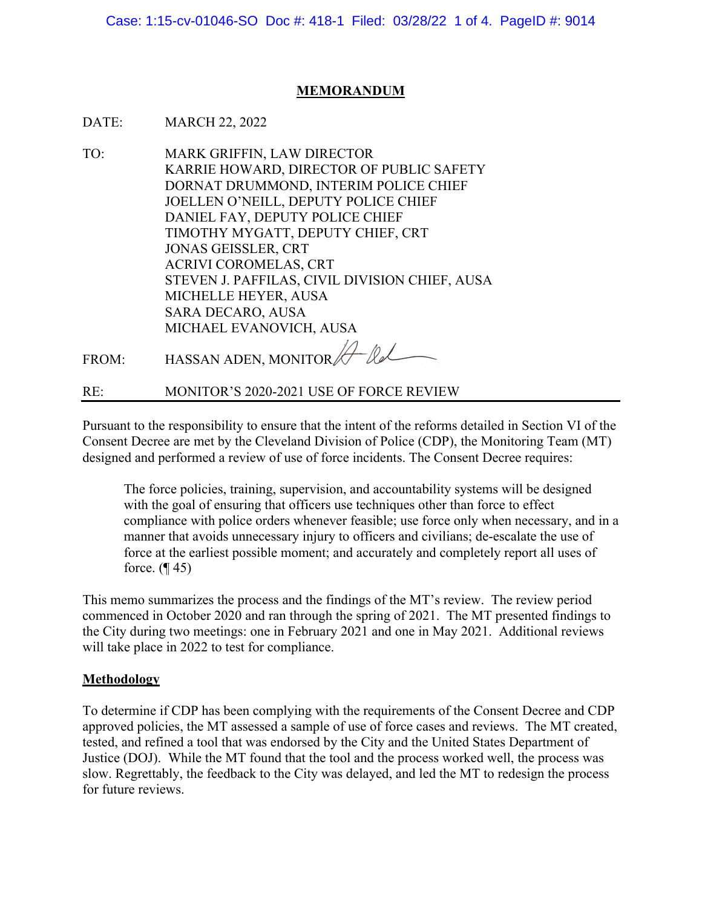Case: 1:15-cv-01046-SO Doc #: 418-1 Filed: 03/28/22 1 of 4. PageID #: 9014

## **MEMORANDUM**

- DATE: MARCH 22, 2022
- TO: MARK GRIFFIN, LAW DIRECTOR KARRIE HOWARD, DIRECTOR OF PUBLIC SAFETY DORNAT DRUMMOND, INTERIM POLICE CHIEF JOELLEN O'NEILL, DEPUTY POLICE CHIEF DANIEL FAY, DEPUTY POLICE CHIEF TIMOTHY MYGATT, DEPUTY CHIEF, CRT JONAS GEISSLER, CRT ACRIVI COROMELAS, CRT STEVEN J. PAFFILAS, CIVIL DIVISION CHIEF, AUSA MICHELLE HEYER, AUSA SARA DECARO, AUSA MICHAEL EVANOVICH, AUSA

FROM: HASSAN ADEN, MONITOR A lel

RE: MONITOR'S 2020-2021 USE OF FORCE REVIEW

Pursuant to the responsibility to ensure that the intent of the reforms detailed in Section VI of the Consent Decree are met by the Cleveland Division of Police (CDP), the Monitoring Team (MT) designed and performed a review of use of force incidents. The Consent Decree requires:

The force policies, training, supervision, and accountability systems will be designed with the goal of ensuring that officers use techniques other than force to effect compliance with police orders whenever feasible; use force only when necessary, and in a manner that avoids unnecessary injury to officers and civilians; de-escalate the use of force at the earliest possible moment; and accurately and completely report all uses of force.  $($ ¶ 45)

This memo summarizes the process and the findings of the MT's review. The review period commenced in October 2020 and ran through the spring of 2021. The MT presented findings to the City during two meetings: one in February 2021 and one in May 2021. Additional reviews will take place in 2022 to test for compliance.

## **Methodology**

To determine if CDP has been complying with the requirements of the Consent Decree and CDP approved policies, the MT assessed a sample of use of force cases and reviews. The MT created, tested, and refined a tool that was endorsed by the City and the United States Department of Justice (DOJ). While the MT found that the tool and the process worked well, the process was slow. Regrettably, the feedback to the City was delayed, and led the MT to redesign the process for future reviews.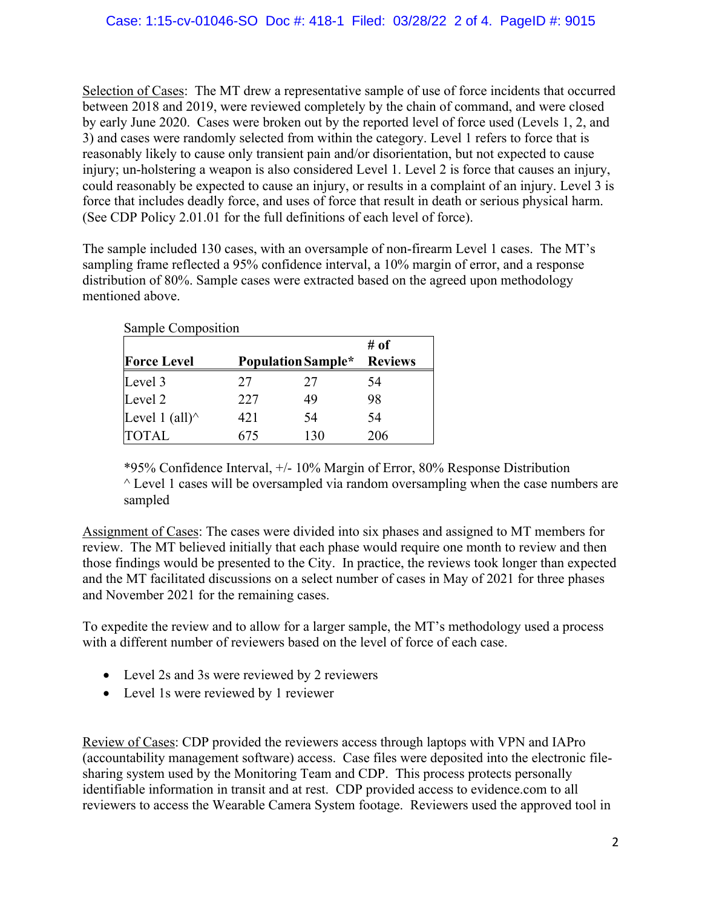Selection of Cases: The MT drew a representative sample of use of force incidents that occurred between 2018 and 2019, were reviewed completely by the chain of command, and were closed by early June 2020. Cases were broken out by the reported level of force used (Levels 1, 2, and 3) and cases were randomly selected from within the category. Level 1 refers to force that is reasonably likely to cause only transient pain and/or disorientation, but not expected to cause injury; un-holstering a weapon is also considered Level 1. Level 2 is force that causes an injury, could reasonably be expected to cause an injury, or results in a complaint of an injury. Level 3 is force that includes deadly force, and uses of force that result in death or serious physical harm. (See CDP Policy 2.01.01 for the full definitions of each level of force).

The sample included 130 cases, with an oversample of non-firearm Level 1 cases. The MT's sampling frame reflected a 95% confidence interval, a 10% margin of error, and a response distribution of 80%. Sample cases were extracted based on the agreed upon methodology mentioned above.

| Sample Composition     |                    |     |                |
|------------------------|--------------------|-----|----------------|
|                        |                    |     | # of           |
| <b>Force Level</b>     | Population Sample* |     | <b>Reviews</b> |
| Level 3                | 27                 | 27  | 54             |
| Level 2                | 227                | 49  | 98             |
| Level 1 (all) $\wedge$ | 421                | 54  | 54             |
| <b>TOTAL</b>           | 675                | 130 | 206            |

\*95% Confidence Interval, +/- 10% Margin of Error, 80% Response Distribution  $\wedge$  Level 1 cases will be oversampled via random oversampling when the case numbers are sampled

Assignment of Cases: The cases were divided into six phases and assigned to MT members for review. The MT believed initially that each phase would require one month to review and then those findings would be presented to the City. In practice, the reviews took longer than expected and the MT facilitated discussions on a select number of cases in May of 2021 for three phases and November 2021 for the remaining cases.

To expedite the review and to allow for a larger sample, the MT's methodology used a process with a different number of reviewers based on the level of force of each case.

- Level 2s and 3s were reviewed by 2 reviewers
- Level 1s were reviewed by 1 reviewer

Review of Cases: CDP provided the reviewers access through laptops with VPN and IAPro (accountability management software) access. Case files were deposited into the electronic filesharing system used by the Monitoring Team and CDP. This process protects personally identifiable information in transit and at rest. CDP provided access to evidence.com to all reviewers to access the Wearable Camera System footage. Reviewers used the approved tool in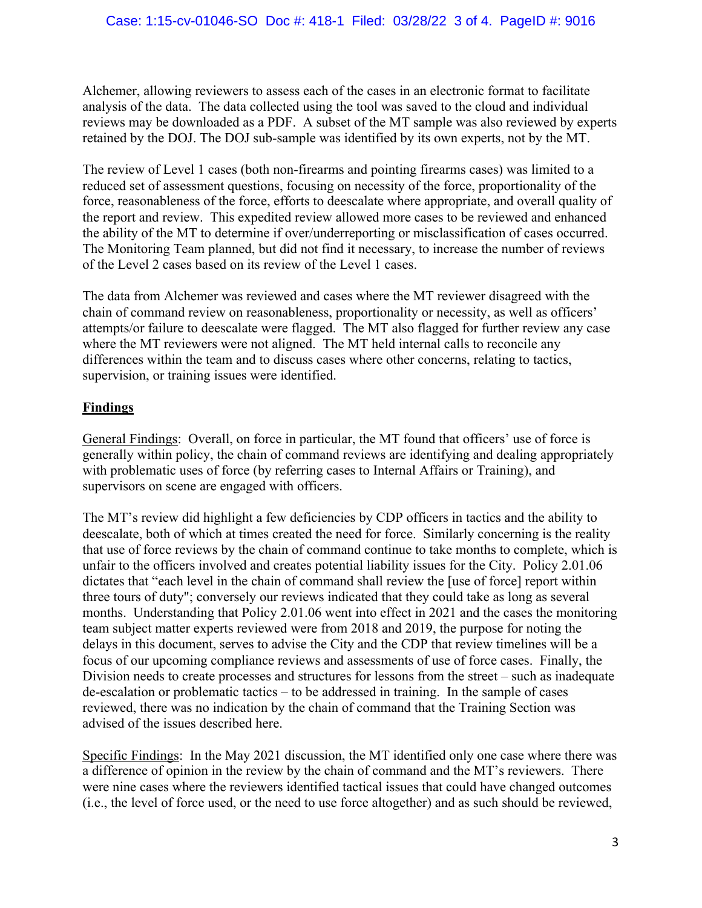Alchemer, allowing reviewers to assess each of the cases in an electronic format to facilitate analysis of the data. The data collected using the tool was saved to the cloud and individual reviews may be downloaded as a PDF. A subset of the MT sample was also reviewed by experts retained by the DOJ. The DOJ sub-sample was identified by its own experts, not by the MT.

The review of Level 1 cases (both non-firearms and pointing firearms cases) was limited to a reduced set of assessment questions, focusing on necessity of the force, proportionality of the force, reasonableness of the force, efforts to deescalate where appropriate, and overall quality of the report and review. This expedited review allowed more cases to be reviewed and enhanced the ability of the MT to determine if over/underreporting or misclassification of cases occurred. The Monitoring Team planned, but did not find it necessary, to increase the number of reviews of the Level 2 cases based on its review of the Level 1 cases.

The data from Alchemer was reviewed and cases where the MT reviewer disagreed with the chain of command review on reasonableness, proportionality or necessity, as well as officers' attempts/or failure to deescalate were flagged. The MT also flagged for further review any case where the MT reviewers were not aligned. The MT held internal calls to reconcile any differences within the team and to discuss cases where other concerns, relating to tactics, supervision, or training issues were identified.

## **Findings**

General Findings: Overall, on force in particular, the MT found that officers' use of force is generally within policy, the chain of command reviews are identifying and dealing appropriately with problematic uses of force (by referring cases to Internal Affairs or Training), and supervisors on scene are engaged with officers.

The MT's review did highlight a few deficiencies by CDP officers in tactics and the ability to deescalate, both of which at times created the need for force. Similarly concerning is the reality that use of force reviews by the chain of command continue to take months to complete, which is unfair to the officers involved and creates potential liability issues for the City. Policy 2.01.06 dictates that "each level in the chain of command shall review the [use of force] report within three tours of duty"; conversely our reviews indicated that they could take as long as several months. Understanding that Policy 2.01.06 went into effect in 2021 and the cases the monitoring team subject matter experts reviewed were from 2018 and 2019, the purpose for noting the delays in this document, serves to advise the City and the CDP that review timelines will be a focus of our upcoming compliance reviews and assessments of use of force cases. Finally, the Division needs to create processes and structures for lessons from the street – such as inadequate de-escalation or problematic tactics – to be addressed in training. In the sample of cases reviewed, there was no indication by the chain of command that the Training Section was advised of the issues described here.

Specific Findings: In the May 2021 discussion, the MT identified only one case where there was a difference of opinion in the review by the chain of command and the MT's reviewers. There were nine cases where the reviewers identified tactical issues that could have changed outcomes (i.e., the level of force used, or the need to use force altogether) and as such should be reviewed,